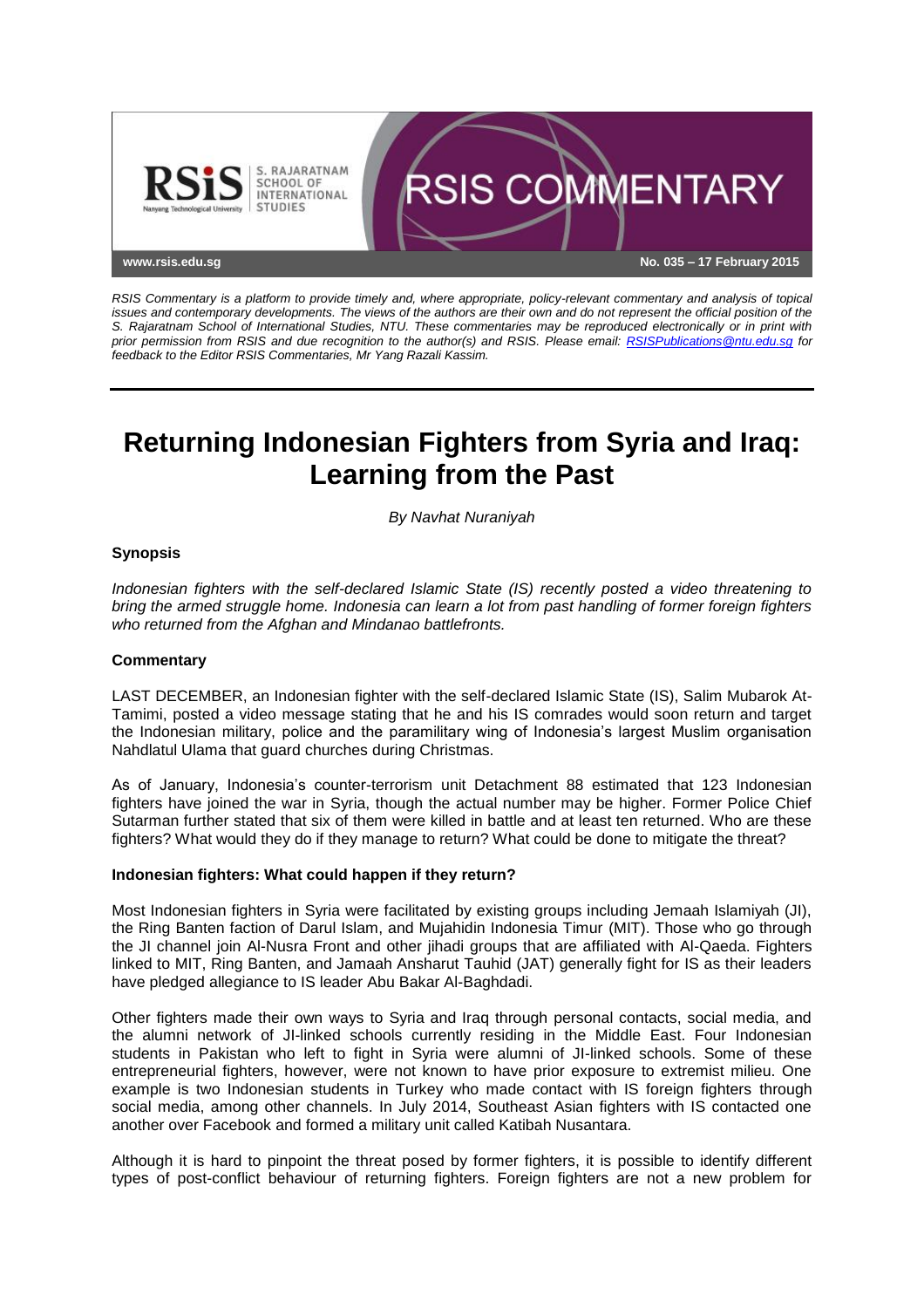

*RSIS Commentary is a platform to provide timely and, where appropriate, policy-relevant commentary and analysis of topical issues and contemporary developments. The views of the authors are their own and do not represent the official position of the S. Rajaratnam School of International Studies, NTU. These commentaries may be reproduced electronically or in print with prior permission from RSIS and due recognition to the author(s) and RSIS. Please email: [RSISPublications@ntu.edu.sg](mailto:RSISPublications@ntu.edu.sg) for feedback to the Editor RSIS Commentaries, Mr Yang Razali Kassim.*

# **Returning Indonesian Fighters from Syria and Iraq: Learning from the Past**

*By Navhat Nuraniyah*

## **Synopsis**

*Indonesian fighters with the self-declared Islamic State (IS) recently posted a video threatening to bring the armed struggle home. Indonesia can learn a lot from past handling of former foreign fighters who returned from the Afghan and Mindanao battlefronts.*

## **Commentary**

LAST DECEMBER, an Indonesian fighter with the self-declared Islamic State (IS), Salim Mubarok At-Tamimi, posted a video message stating that he and his IS comrades would soon return and target the Indonesian military, police and the paramilitary wing of Indonesia's largest Muslim organisation Nahdlatul Ulama that guard churches during Christmas.

As of January, Indonesia's counter-terrorism unit Detachment 88 estimated that 123 Indonesian fighters have joined the war in Syria, though the actual number may be higher. Former Police Chief Sutarman further stated that six of them were killed in battle and at least ten returned. Who are these fighters? What would they do if they manage to return? What could be done to mitigate the threat?

## **Indonesian fighters: What could happen if they return?**

Most Indonesian fighters in Syria were facilitated by existing groups including Jemaah Islamiyah (JI), the Ring Banten faction of Darul Islam, and Mujahidin Indonesia Timur (MIT). Those who go through the JI channel join Al-Nusra Front and other jihadi groups that are affiliated with Al-Qaeda. Fighters linked to MIT, Ring Banten, and Jamaah Ansharut Tauhid (JAT) generally fight for IS as their leaders have pledged allegiance to IS leader Abu Bakar Al-Baghdadi.

Other fighters made their own ways to Syria and Iraq through personal contacts, social media, and the alumni network of JI-linked schools currently residing in the Middle East. Four Indonesian students in Pakistan who left to fight in Syria were alumni of JI-linked schools. Some of these entrepreneurial fighters, however, were not known to have prior exposure to extremist milieu. One example is two Indonesian students in Turkey who made contact with IS foreign fighters through social media, among other channels. In July 2014, Southeast Asian fighters with IS contacted one another over Facebook and formed a military unit called Katibah Nusantara.

Although it is hard to pinpoint the threat posed by former fighters, it is possible to identify different types of post-conflict behaviour of returning fighters. Foreign fighters are not a new problem for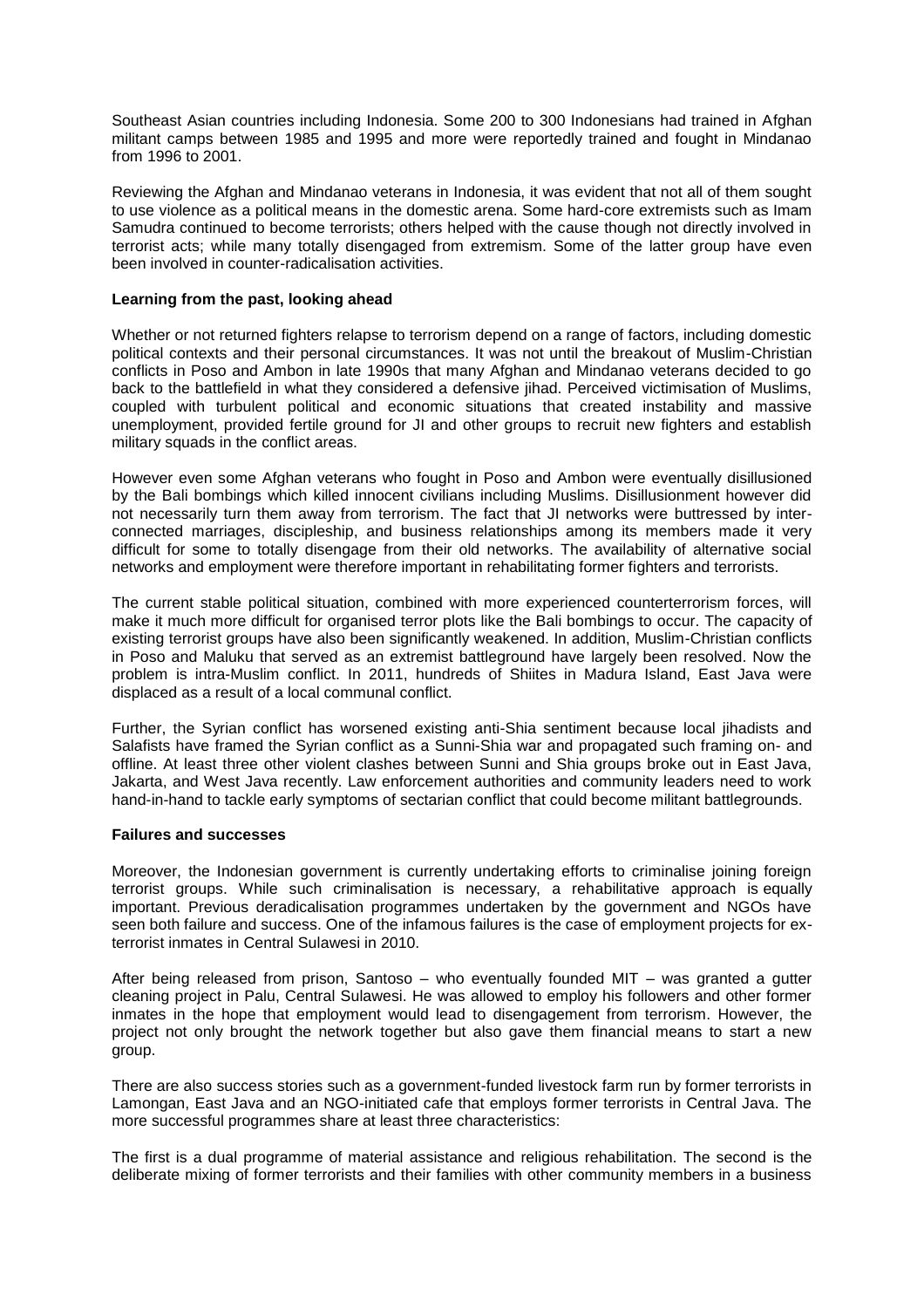Southeast Asian countries including Indonesia. Some 200 to 300 Indonesians had trained in Afghan militant camps between 1985 and 1995 and more were reportedly trained and fought in Mindanao from 1996 to 2001.

Reviewing the Afghan and Mindanao veterans in Indonesia, it was evident that not all of them sought to use violence as a political means in the domestic arena. Some hard-core extremists such as Imam Samudra continued to become terrorists; others helped with the cause though not directly involved in terrorist acts; while many totally disengaged from extremism. Some of the latter group have even been involved in counter-radicalisation activities.

## **Learning from the past, looking ahead**

Whether or not returned fighters relapse to terrorism depend on a range of factors, including domestic political contexts and their personal circumstances. It was not until the breakout of Muslim-Christian conflicts in Poso and Ambon in late 1990s that many Afghan and Mindanao veterans decided to go back to the battlefield in what they considered a defensive jihad. Perceived victimisation of Muslims, coupled with turbulent political and economic situations that created instability and massive unemployment, provided fertile ground for JI and other groups to recruit new fighters and establish military squads in the conflict areas.

However even some Afghan veterans who fought in Poso and Ambon were eventually disillusioned by the Bali bombings which killed innocent civilians including Muslims. Disillusionment however did not necessarily turn them away from terrorism. The fact that JI networks were buttressed by interconnected marriages, discipleship, and business relationships among its members made it very difficult for some to totally disengage from their old networks. The availability of alternative social networks and employment were therefore important in rehabilitating former fighters and terrorists.

The current stable political situation, combined with more experienced counterterrorism forces, will make it much more difficult for organised terror plots like the Bali bombings to occur. The capacity of existing terrorist groups have also been significantly weakened. In addition, Muslim-Christian conflicts in Poso and Maluku that served as an extremist battleground have largely been resolved. Now the problem is intra-Muslim conflict. In 2011, hundreds of Shiites in Madura Island, East Java were displaced as a result of a local communal conflict.

Further, the Syrian conflict has worsened existing anti-Shia sentiment because local jihadists and Salafists have framed the Syrian conflict as a Sunni-Shia war and propagated such framing on- and offline. At least three other violent clashes between Sunni and Shia groups broke out in East Java, Jakarta, and West Java recently. Law enforcement authorities and community leaders need to work hand-in-hand to tackle early symptoms of sectarian conflict that could become militant battlegrounds.

## **Failures and successes**

Moreover, the Indonesian government is currently undertaking efforts to criminalise joining foreign terrorist groups. While such criminalisation is necessary, a rehabilitative approach is equally important. Previous deradicalisation programmes undertaken by the government and NGOs have seen both failure and success. One of the infamous failures is the case of employment projects for exterrorist inmates in Central Sulawesi in 2010.

After being released from prison, Santoso – who eventually founded MIT – was granted a gutter cleaning project in Palu, Central Sulawesi. He was allowed to employ his followers and other former inmates in the hope that employment would lead to disengagement from terrorism. However, the project not only brought the network together but also gave them financial means to start a new group.

There are also success stories such as a government-funded livestock farm run by former terrorists in Lamongan, East Java and an NGO-initiated cafe that employs former terrorists in Central Java. The more successful programmes share at least three characteristics:

The first is a dual programme of material assistance and religious rehabilitation. The second is the deliberate mixing of former terrorists and their families with other community members in a business